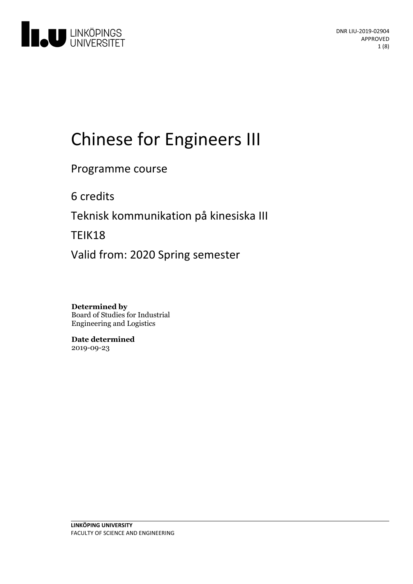

# Chinese for Engineers III

Programme course

6 credits

Teknisk kommunikation på kinesiska III

TEIK18

Valid from: 2020 Spring semester

**Determined by** Board of Studies for Industrial Engineering and Logistics

**Date determined** 2019-09-23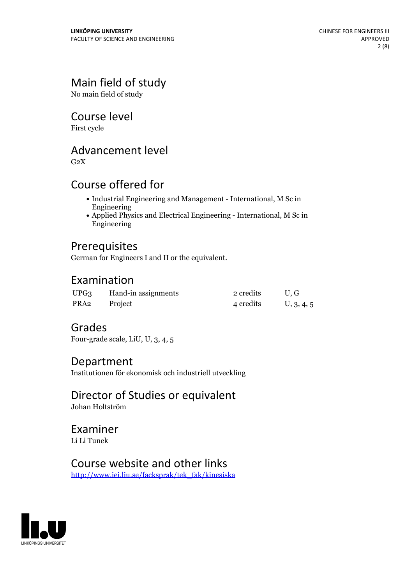# Main field of study

No main field of study

## Course level

First cycle

# Advancement level

 $G<sub>2</sub>X$ 

# Course offered for

- Industrial Engineering and Management International, M Sc in Engineering
- Applied Physics and Electrical Engineering International, M Sc in Engineering

# Prerequisites

German for Engineers I and II or the equivalent.

## Examination

| UPG <sub>3</sub> | Hand-in assignments | 2 credits | U.G        |
|------------------|---------------------|-----------|------------|
| PRA2             | Project             | 4 credits | U, 3, 4, 5 |

## Grades

Four-grade scale, LiU, U, 3, 4, 5

## Department

Institutionen för ekonomisk och industriell utveckling

# Director of Studies or equivalent

Johan Holtström

## Examiner Li Li Tunek

# Course website and other links

[http://www.iei.liu.se/facksprak/tek\\_fak/kinesiska](http://www.iei.liu.se/facksprak/tek_fak/kinesiska)

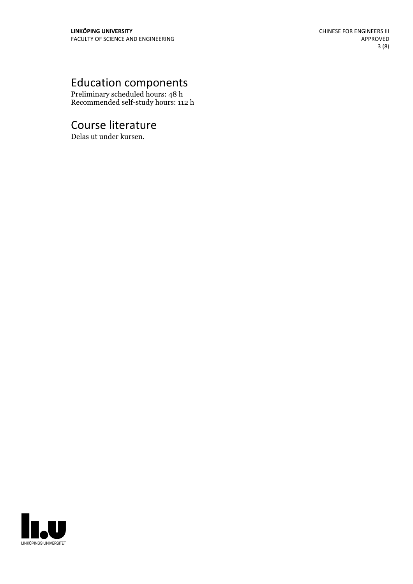# Education components

Preliminary scheduled hours: 48 h Recommended self-study hours: 112 h

# Course literature

Delas ut under kursen.

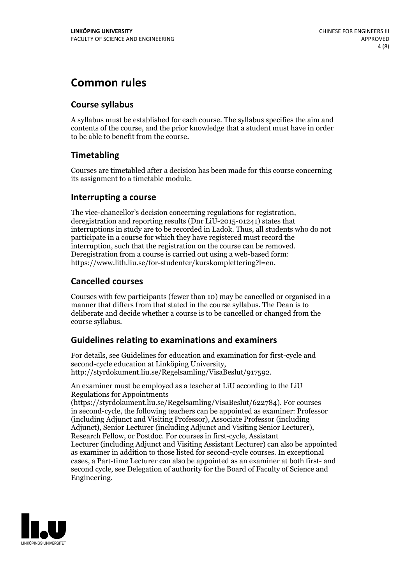# **Common rules**

## **Course syllabus**

A syllabus must be established for each course. The syllabus specifies the aim and contents of the course, and the prior knowledge that a student must have in order to be able to benefit from the course.

## **Timetabling**

Courses are timetabled after a decision has been made for this course concerning its assignment to a timetable module.

### **Interrupting a course**

The vice-chancellor's decision concerning regulations for registration, deregistration and reporting results (Dnr LiU-2015-01241) states that interruptions in study are to be recorded in Ladok. Thus, all students who do not participate in a course for which they have registered must record the interruption, such that the registration on the course can be removed. Deregistration from <sup>a</sup> course is carried outusing <sup>a</sup> web-based form: https://www.lith.liu.se/for-studenter/kurskomplettering?l=en.

## **Cancelled courses**

Courses with few participants (fewer than 10) may be cancelled or organised in a manner that differs from that stated in the course syllabus. The Dean is to deliberate and decide whether a course is to be cancelled or changed from the course syllabus.

## **Guidelines relatingto examinations and examiners**

For details, see Guidelines for education and examination for first-cycle and second-cycle education at Linköping University, http://styrdokument.liu.se/Regelsamling/VisaBeslut/917592.

An examiner must be employed as a teacher at LiU according to the LiU Regulations for Appointments

(https://styrdokument.liu.se/Regelsamling/VisaBeslut/622784). For courses in second-cycle, the following teachers can be appointed as examiner: Professor (including Adjunct and Visiting Professor), Associate Professor (including Adjunct), Senior Lecturer (including Adjunct and Visiting Senior Lecturer), Research Fellow, or Postdoc. For courses in first-cycle, Assistant Lecturer (including Adjunct and Visiting Assistant Lecturer) can also be appointed as examiner in addition to those listed for second-cycle courses. In exceptional cases, a Part-time Lecturer can also be appointed as an examiner at both first- and second cycle, see Delegation of authority for the Board of Faculty of Science and Engineering.

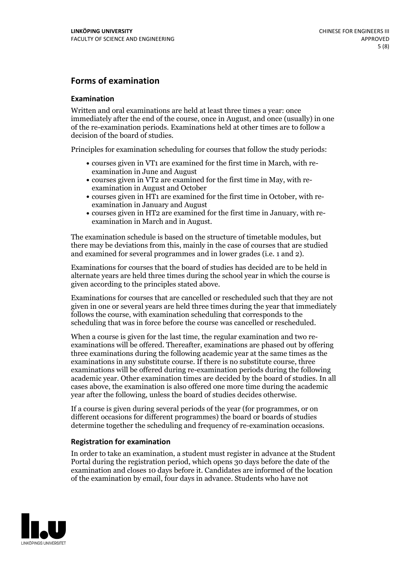## **Forms of examination**

#### **Examination**

Written and oral examinations are held at least three times a year: once immediately after the end of the course, once in August, and once (usually) in one of the re-examination periods. Examinations held at other times are to follow a decision of the board of studies.

Principles for examination scheduling for courses that follow the study periods:

- courses given in VT1 are examined for the first time in March, with re-examination in June and August
- courses given in VT2 are examined for the first time in May, with re-examination in August and October
- courses given in HT1 are examined for the first time in October, with re-examination in January and August
- courses given in HT2 are examined for the first time in January, with re-examination in March and in August.

The examination schedule is based on the structure of timetable modules, but there may be deviations from this, mainly in the case of courses that are studied and examined for several programmes and in lower grades (i.e. 1 and 2).

Examinations for courses that the board of studies has decided are to be held in alternate years are held three times during the school year in which the course is given according to the principles stated above.

Examinations for courses that are cancelled orrescheduled such that they are not given in one or several years are held three times during the year that immediately follows the course, with examination scheduling that corresponds to the scheduling that was in force before the course was cancelled or rescheduled.

When a course is given for the last time, the regular examination and two re-<br>examinations will be offered. Thereafter, examinations are phased out by offering three examinations during the following academic year at the same times as the examinations in any substitute course. If there is no substitute course, three examinations will be offered during re-examination periods during the following academic year. Other examination times are decided by the board of studies. In all cases above, the examination is also offered one more time during the academic year after the following, unless the board of studies decides otherwise.

If a course is given during several periods of the year (for programmes, or on different occasions for different programmes) the board or boards of studies determine together the scheduling and frequency of re-examination occasions.

#### **Registration for examination**

In order to take an examination, a student must register in advance at the Student Portal during the registration period, which opens 30 days before the date of the examination and closes 10 days before it. Candidates are informed of the location of the examination by email, four days in advance. Students who have not

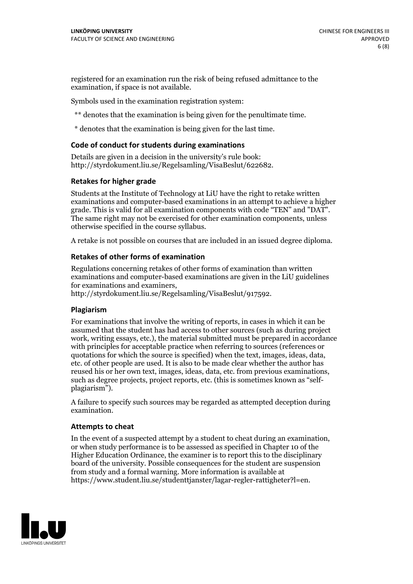registered for an examination run the risk of being refused admittance to the examination, if space is not available.

Symbols used in the examination registration system:

\*\* denotes that the examination is being given for the penultimate time.

\* denotes that the examination is being given for the last time.

#### **Code of conduct for students during examinations**

Details are given in a decision in the university's rule book: http://styrdokument.liu.se/Regelsamling/VisaBeslut/622682.

#### **Retakes for higher grade**

Students at the Institute of Technology at LiU have the right to retake written examinations and computer-based examinations in an attempt to achieve a higher grade. This is valid for all examination components with code "TEN" and "DAT". The same right may not be exercised for other examination components, unless otherwise specified in the course syllabus.

A retake is not possible on courses that are included in an issued degree diploma.

#### **Retakes of other forms of examination**

Regulations concerning retakes of other forms of examination than written examinations and computer-based examinations are given in the LiU guidelines

http://styrdokument.liu.se/Regelsamling/VisaBeslut/917592.

#### **Plagiarism**

For examinations that involve the writing of reports, in cases in which it can be assumed that the student has had access to other sources (such as during project work, writing essays, etc.), the material submitted must be prepared in accordance with principles for acceptable practice when referring to sources (references or quotations for which the source is specified) when the text, images, ideas, data,  $\vec{e}$  etc. of other people are used. It is also to be made clear whether the author has reused his or her own text, images, ideas, data, etc. from previous examinations, such as degree projects, project reports, etc. (this is sometimes known as "self- plagiarism").

A failure to specify such sources may be regarded as attempted deception during examination.

#### **Attempts to cheat**

In the event of <sup>a</sup> suspected attempt by <sup>a</sup> student to cheat during an examination, or when study performance is to be assessed as specified in Chapter <sup>10</sup> of the Higher Education Ordinance, the examiner is to report this to the disciplinary board of the university. Possible consequences for the student are suspension from study and a formal warning. More information is available at https://www.student.liu.se/studenttjanster/lagar-regler-rattigheter?l=en.

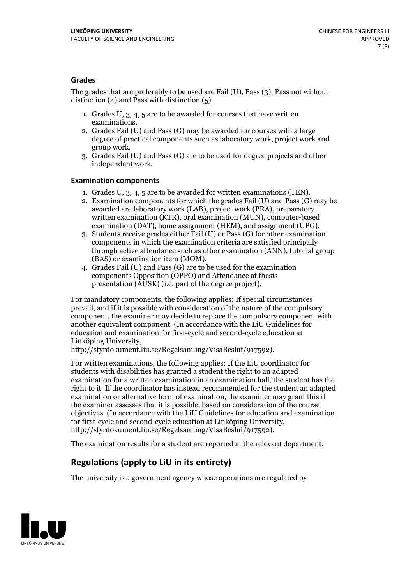### **Grades**

The grades that are preferably to be used are Fail (U), Pass (3), Pass not without distinction  $(4)$  and Pass with distinction  $(5)$ .

- 1. Grades U, 3, 4, 5 are to be awarded for courses that have written
- examinations. 2. Grades Fail (U) and Pass (G) may be awarded for courses with <sup>a</sup> large degree of practical components such as laboratory work, project work and group work. 3. Grades Fail (U) and Pass (G) are to be used for degree projects and other
- independent work.

#### **Examination components**

- 
- 1. Grades U, 3, 4, <sup>5</sup> are to be awarded for written examinations (TEN). 2. Examination components for which the grades Fail (U) and Pass (G) may be awarded are laboratory work (LAB), project work (PRA), preparatory written examination (KTR), oral examination (MUN), computer-based
- examination (DAT), home assignment (HEM), and assignment (UPG). 3. Students receive grades either Fail (U) or Pass (G) for other examination components in which the examination criteria are satisfied principally through active attendance such as other examination (ANN), tutorial group (BAS) or examination item (MOM). 4. Grades Fail (U) and Pass (G) are to be used for the examination
- components Opposition (OPPO) and Attendance at thesis presentation (AUSK) (i.e. part of the degree project).

For mandatory components, the following applies: If special circumstances prevail, and if it is possible with consideration of the nature of the compulsory component, the examiner may decide to replace the compulsory component with another equivalent component. (In accordance with the LiU Guidelines for education and examination for first-cycle and second-cycle education at Linköping University, http://styrdokument.liu.se/Regelsamling/VisaBeslut/917592).

For written examinations, the following applies: If the LiU coordinator for students with disabilities has granted a student the right to an adapted examination for a written examination in an examination hall, the student has the right to it. If the coordinator has instead recommended for the student an adapted examination or alternative form of examination, the examiner may grant this if the examiner assesses that it is possible, based on consideration of the course objectives. (In accordance with the LiU Guidelines for education and examination for first-cycle and second-cycle education at Linköping University, http://styrdokument.liu.se/Regelsamling/VisaBeslut/917592).

The examination results for a student are reported at the relevant department.

## **Regulations (applyto LiU in its entirety)**

The university is a government agency whose operations are regulated by